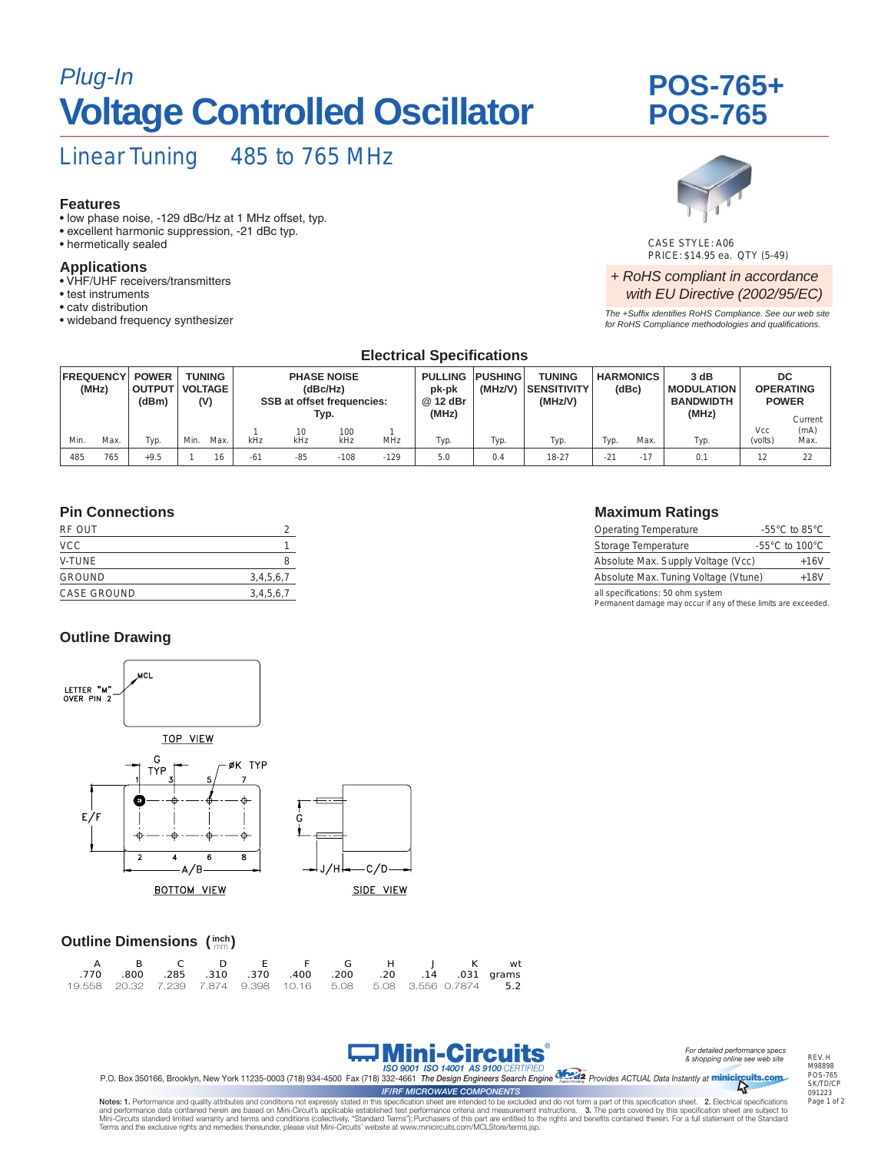## *Plug-In* **POS-765+ Voltage Controlled Oscillator**

# **POS-765**

## Linear Tuning 485 to 765 MHz

#### **Features**

- low phase noise, -129 dBc/Hz at 1 MHz offset, typ.
- excellent harmonic suppression, -21 dBc typ.
- hermetically sealed

#### **Applications**

- VHF/UHF receivers/transmitters
- test instruments
- catv distribution
- wideband frequency synthesizer



CASE STYLE: A06 PRICE: \$14.95 ea. QTY (5-49)

#### *+ RoHS compliant in accordance with EU Directive (2002/95/EC)*

*The +Suffix identifies RoHS Compliance. See our web site for RoHS Compliance methodologies and qualifications.*

| <b>Electrical Specifications</b> |      |                                        |                                        |      |                                                                             |           |            |                                              |                           |                                                |       |                           |                                                        |      |                                                   |              |
|----------------------------------|------|----------------------------------------|----------------------------------------|------|-----------------------------------------------------------------------------|-----------|------------|----------------------------------------------|---------------------------|------------------------------------------------|-------|---------------------------|--------------------------------------------------------|------|---------------------------------------------------|--------------|
| <b>FREQUENCY</b><br>(MHz)        |      | <b>POWER</b><br><b>OUTPUT</b><br>(dBm) | <b>TUNING</b><br><b>VOLTAGE</b><br>(V) |      | <b>PHASE NOISE</b><br>(dBc/Hz)<br><b>SSB at offset frequencies:</b><br>Typ. |           |            | <b>PULLING</b><br>pk-pk<br>@ 12 dBr<br>(MHz) | <b>PUSHING</b><br>(MHz/V) | <b>TUNING</b><br><b>SENSITIVITY</b><br>(MHz/V) |       | <b>HARMONICS</b><br>(dBc) | 3 dB<br><b>MODULATION</b><br><b>BANDWIDTH</b><br>(MHz) |      | DC<br><b>OPERATING</b><br><b>POWER</b><br>Current |              |
| Min.                             | Max. | Typ.                                   | Min.                                   | Max. | kHz                                                                         | 10<br>kHz | 100<br>kHz | <b>MHz</b>                                   | Typ.                      | Typ.                                           | Typ.  | Typ.                      | Max.                                                   | Typ. | Vcc<br>(volts)                                    | (mA)<br>Max. |
| 485                              | 765  | $+9.5$                                 |                                        | 16   | $-61$                                                                       | $-85$     | $-108$     | $-129$                                       | 5.0                       | 0.4                                            | 18-27 | $-21$                     | $-17$                                                  | 0.1  | 12                                                | 22           |

#### **Pin Connections**

| RF OUT             |           |
|--------------------|-----------|
| <b>VCC</b>         |           |
| V-TUNE             | 8         |
| <b>GROUND</b>      | 3,4,5,6,7 |
| <b>CASE GROUND</b> | 3,4,5,6,7 |
|                    |           |

#### **Outline Drawing**



#### **Outline Dimensions (inch)**

|  |  | A B C D E F G H J K wt                                          |  |  |  |
|--|--|-----------------------------------------------------------------|--|--|--|
|  |  | .031 qrams .285 .310 .370 .400 .200 .200 .14 .031 qrams         |  |  |  |
|  |  | 19.558 20.32 7.239 7.874 9.398 10.16 5.08 5.08 3.556 0.7874 5.2 |  |  |  |



REV. H M98898 POS-765 SK/TD/CP 091223 Page 1 of 2

Mini-Circuits *ISO 9001 ISO 14001 AS 9100 CERTIFIED* P.O. Box 350166, Brooklyn, New York 11235-0003 (718) 934-4500 Fax (718) 332-4661 *The Design Engineers Search Engine Provides ACTUAL Data Instantly at*  TM minicircuits.com *IF/RF MICROWAVE COMPONENTS*

®

Notes: 1. Performance and quality attributes and conditions not expressly stated in this specification sheet are intended to be excluded and do not form a part of this specification sheet. 2. Electrical specifications and performance data contained herein are based on Mini-Circuit's applicable established test performance criteria and measurement instructions. 3. The parts covered by this specification sheet are subject to<br>Mini-Circuits Terms and the exclusive rights and remedies thereunder, please visit Mini-Circuits' website at www.minicircuits.com/MCLStore/terms.jsp.



| <b>Operating Temperature</b>         | -55 $^{\circ}$ C to 85 $^{\circ}$ C  |
|--------------------------------------|--------------------------------------|
| Storage Temperature                  | -55 $^{\circ}$ C to 100 $^{\circ}$ C |
| Absolute Max. Supply Voltage (Vcc)   | $+16V$                               |
| Absolute Max. Tuning Voltage (Vtune) | $+18V$                               |
| all specifications: 50 ohm system    |                                      |

all specifications: 50 ohm system Permanent damage may occur if any of these limits are exceeded.